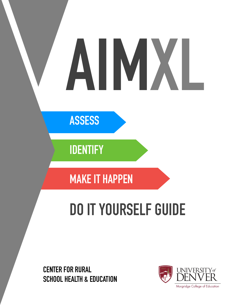# **AIMXL**

**ASSESS** 

**IDENTIFY** 

**MAKE IT HAPPEN**

# **DO IT YOURSELF GUIDE**

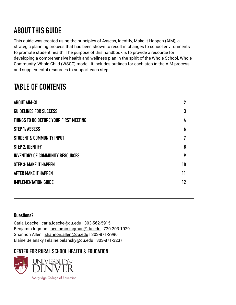# **ABOUT THIS GUIDE**

This guide was created using the principles of Assess, Identify, Make It Happen (AIM), a strategic planning process that has been shown to result in changes to school environments to promote student health. The purpose of this handbook is to provide a resource for developing a comprehensive health and wellness plan in the spirit of the Whole School, Whole Community, Whole Child (WSCC) model. It includes outlines for each step in the AIM process and supplemental resources to support each step.

# **TABLE OF CONTENTS**

| <b>ABOUT AIM-XL</b>                     | $\mathbf 2$ |
|-----------------------------------------|-------------|
| <b>GUIDELINES FOR SUCCESS</b>           | 3           |
| THINGS TO DO BEFORE YOUR FIRST MEETING  | 4           |
| STEP 1: ASSESS                          | 6           |
| STUDENT & COMMUNITY INPUT               | 7           |
| <b>STEP 2: IDENTIFY</b>                 | 8           |
| <b>INVENTORY OF COMMUNITY RESOURCES</b> | 9           |
| <b>STEP 3: MAKE IT HAPPEN</b>           | 10          |
| AFTER MAKE IT HAPPEN                    | 11          |
| <b>IMPLEMENTATION GUIDE</b>             | 12          |
|                                         |             |

### **Questions?**

Carla Loecke | [carla.loecke@du.edu](mailto:carla.loecke@du.edu) | 303-562-5915 Benjamin Ingman | [benjamin.ingman@du.edu](mailto:benjamin.ingman@du.edu) | 720-203-1929 Shannon Allen | [shannon.allen@du.edu](mailto:shannon.allen@du.edu) | 303-871-2996 Elaine Belansky | [elaine.belansky@du.edu](mailto:elaine.belansky@du.edu) | 303-871-3237

# **CENTER FOR RURAL SCHOOL HEALTH & EDUCATION**

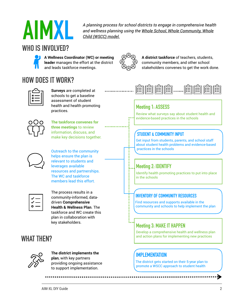

*A planning process for school districts to engage in comprehensive health and wellness planning using the [Whole School, Whole Community, Whole](http://www.ascd.org/programs/learning-and-health/wscc-model.aspx)  [Child \(WSCC\) model.](http://www.ascd.org/programs/learning-and-health/wscc-model.aspx)*

<span id="page-2-0"></span>reader manages the enort at the<br>and leads taskforce meetings. **A Wellness Coordinator (WC) or meeting leader** manages the effort at the district

# **HOW DOES IT WORK?**



**Surveys** are completed at schools to get a baseline assessment of student health and health promoting practices.



**The taskforce convenes for three meetings** to review information, discuss, and miormation, discuss, and<br>make key decisions together. **STUDENT & COMMUNITY INPUT** 



Outreach to the community helps ensure the plan is relevant to students and leverages available resources and partnerships. The WC and taskforce members lead this effort.



The process results in a community-informed, datadriven **Comprehensive Health & Wellness Plan**. The taskforce and WC create this plan in collaboration with key stakeholders.

# **WHAT THEN?**



**The district implements the plan**, with key partners providing ongoing assistance to support implementation.



**A district taskforce** of teachers, students, community members, and other school stakeholders convenes to get the work done.



# **Meeting 1: ASSESS**

Review what surveys say about student health and evidence-based practices in the schools

Get input from students, parents, and school staff about student health problems and evidence-based practices in the schools

# **Meeting 2: IDENTIFY**

Identify health promoting practices to put into place in the schools

### **INVENTORY OF COMMUNITY RESOURCES**

Find resources and supports available in the community and schools to help implement the plan

# **Meeting 3: MAKE IT HAPPEN**

Develop a comprehensive health and wellness plan and action plans for implementing new practices

# **IMPI FMENTATION**

The district gets started on their 5-year plan to promote a WSCC approach to student health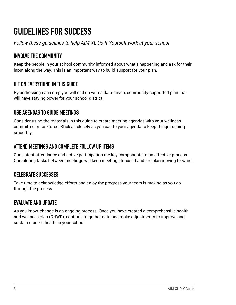# <span id="page-3-0"></span>**GUIDELINES FOR SUCCESS**

*Follow these guidelines to help AIM-XL Do-It-Yourself work at your school* 

# **INVOLVE THE COMMUNITY**

Keep the people in your school community informed about what's happening and ask for their input along the way. This is an important way to build support for your plan.

# **HIT ON EVERYTHING IN THIS GUIDE**

By addressing each step you will end up with a data-driven, community supported plan that will have staying power for your school district.

# **USE AGENDAS TO GUIDE MEETINGS**

Consider using the materials in this guide to create meeting agendas with your wellness committee or taskforce. Stick as closely as you can to your agenda to keep things running smoothly.

# **ATTEND MEETINGS AND COMPLETE FOLLOW UP ITEMS**

Consistent attendance and active participation are key components to an effective process. Completing tasks between meetings will keep meetings focused and the plan moving forward.

# **CELEBRATE SUCCESSES**

Take time to acknowledge efforts and enjoy the progress your team is making as you go through the process.

# **EVALUATE AND UPDATE**

As you know, change is an ongoing process. Once you have created a comprehensive health and wellness plan (CHWP), continue to gather data and make adjustments to improve and sustain student health in your school.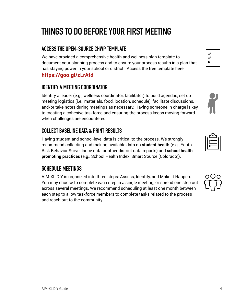# <span id="page-4-0"></span>**THINGS TO DO BEFORE YOUR FIRST MEETING**

# **ACCESS THE OPEN-SOURCE CHWP TEMPLATE**

We have provided a comprehensive health and wellness plan template to document your planning process and to ensure your process results in a plan that has staying power in your school or district. Access the free template here:

# **<https://goo.gl/zLrAfd>**

# **IDENTIFY A MEETING COORDINATOR**

Identify a leader (e.g., wellness coordinator, facilitator) to build agendas, set up meeting logistics (i.e., materials, food, location, schedule), facilitate discussions, and/or take notes during meetings as necessary. Having someone in charge is key to creating a cohesive taskforce and ensuring the process keeps moving forward when challenges are encountered.

# **COLLECT BASELINE DATA & PRINT RESULTS**

Having student and school-level data is critical to the process. We strongly recommend collecting and making available data on **student health** (e.g., Youth Risk Behavior Surveillance data or other district data reports) and **school health promoting practices** (e.g., School Health Index, Smart Source (Colorado)).

# **SCHEDULE MEETINGS**

AIM-XL DIY is organized into three steps: Assess, Identify, and Make It Happen. You may choose to complete each step in a single meeting, or spread one step out across several meetings. We recommend scheduling at least one month between each step to allow taskforce members to complete tasks related to the process and reach out to the community.





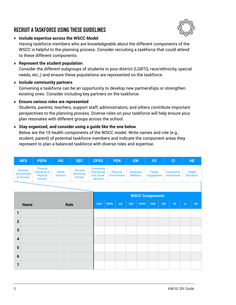# **RECRUIT A TASKFORCE USING THESE GUIDELINES**



‣ **Include expertise across the WSCC Model** 

Having taskforce members who are knowledgeable about the different components of the WSCC is helpful to the planning process. Consider recruiting a taskforce that could attend to these different components.

‣ **Represent the student population**

Consider the different subgroups of students in your district (LGBTQ, race/ethnicity, special needs, etc.,) and ensure these populations are represented on the taskforce.

‣ **Include community partners** 

Convening a taskforce can be an opportunity to develop new partnerships or strengthen existing ones. Consider including key partners on the taskforce.

### ‣ **Ensure various roles are represented**

Students, parents, teachers, support staff, administrators, and others contribute important perspectives to the planning process. Diverse roles on your taskforce will help ensure your plan resonates with different groups across the school.

### ‣ **Stay organized, and consider using a guide like the one below**

Below are the 10 health components of the WSCC model. Write names and role (e.g., student, parent) of potential taskforce members and indicate the component areas they represent to plan a balanced taskforce with diverse roles and expertise.

| <b>NES</b>                                           | <b>PEPA</b>                                                       | <b>HS</b>                 | <b>SEC</b>                                     | <b>CPSS</b>                                                 |             | <b>PEN</b>                     | <b>EW</b>                          |             | FE.                    |           | CI                              |           | <b>HE</b>                         |
|------------------------------------------------------|-------------------------------------------------------------------|---------------------------|------------------------------------------------|-------------------------------------------------------------|-------------|--------------------------------|------------------------------------|-------------|------------------------|-----------|---------------------------------|-----------|-----------------------------------|
| <b>Nutrition</b><br><b>Environment</b><br>& Services | Physical<br><b>Education &amp;</b><br>Physical<br><b>Activity</b> | Health<br><b>Services</b> | Social &<br><b>Emotional</b><br><b>Climate</b> | Counseling,<br>Psychology,<br>and Social<br><b>Services</b> |             | Physical<br><b>Environment</b> | <b>Employee</b><br><b>Wellness</b> |             | Family<br>Engagement   |           | <b>Community</b><br>Involvement |           | <b>Health</b><br><b>Education</b> |
|                                                      |                                                                   |                           |                                                |                                                             |             |                                |                                    |             |                        |           |                                 |           |                                   |
|                                                      |                                                                   |                           |                                                |                                                             |             |                                |                                    |             | <b>WSCC Components</b> |           |                                 |           |                                   |
| <b>Name</b>                                          |                                                                   |                           | Role                                           | <b>NES</b>                                                  | <b>PEPA</b> | <b>HS</b>                      | <b>SEC</b>                         | <b>CPSS</b> | <b>PEN</b>             | <b>EW</b> | FE.                             | <b>CI</b> | HE.                               |
| 1                                                    |                                                                   |                           |                                                |                                                             |             |                                |                                    |             |                        |           |                                 |           |                                   |
| $\mathbf{2}$                                         |                                                                   |                           |                                                |                                                             |             |                                |                                    |             |                        |           |                                 |           |                                   |
| 3                                                    |                                                                   |                           |                                                |                                                             |             |                                |                                    |             |                        |           |                                 |           |                                   |
| $\overline{\mathbf{4}}$                              |                                                                   |                           |                                                |                                                             |             |                                |                                    |             |                        |           |                                 |           |                                   |
| $5\phantom{1}$                                       |                                                                   |                           |                                                |                                                             |             |                                |                                    |             |                        |           |                                 |           |                                   |
| $6\phantom{1}6$                                      |                                                                   |                           |                                                |                                                             |             |                                |                                    |             |                        |           |                                 |           |                                   |

**7**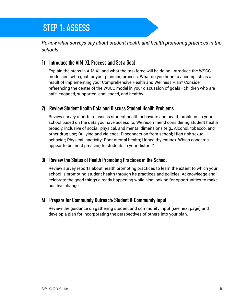# <span id="page-6-0"></span>**STEP 1: ASSESS STEP 1: ASSESS**

*Review what surveys say about student health and health promoting practices in the schools* 

### **1) Introduce the AIM-XL Process and Set a Goal**

Explain the steps in AIM-XL and what the taskforce will be doing. Introduce the WSCC model and set a goal for your planning process: What do you hope to accomplish as a result of implementing your Comprehensive Health and Wellness Plan? Consider referencing the center of the WSCC model in your discussion of goals—children who are safe, engaged, supported, challenged, and healthy.

### **2) Review Student Health Data and Discuss Student Health Problems**

Review survey reports to assess student health behaviors and health problems in your school based on the data you have access to. We recommend considering student health broadly, inclusive of social, physical, and mental dimensions (e.g., Alcohol, tobacco, and other drug use; Bullying and violence; Disconnection from school; High risk sexual behavior; Physical inactivity; Poor mental health; Unhealthy eating). Which concerns appear to be most pressing to students in your district?

# **3) Review the Status of Health Promoting Practices in the School**

Review survey reports about health promoting practices to learn the extent to which your school is promoting student health through its practices and policies. Acknowledge and celebrate the good things already happening while also looking for opportunities to make positive change.

# **4) Prepare for Community Outreach: Student & Community Input**

Review the guidance on gathering student and community input (see next page) and develop a plan for incorporating the perspectives of others into your plan.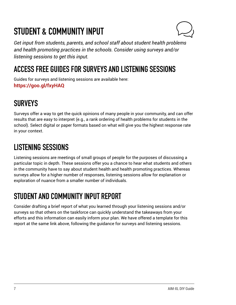# <span id="page-7-0"></span>**STUDENT & COMMUNITY INPUT**



*Get input from students, parents, and school staff about student health problems and health promoting practices in the schools. Consider using surveys and/or listening sessions to get this input.* 

# **ACCESS FREE GUIDES FOR SURVEYS AND LISTENING SESSIONS**

Guides for surveys and listening sessions are available here: **<https://goo.gl/fxyHAQ>** 

# **SURVEYS**

Surveys offer a way to get the quick opinions of many people in your community, and can offer results that are easy to interpret (e.g., a rank ordering of health problems for students in the school). Select digital or paper formats based on what will give you the highest response rate in your context.

# **LISTENING SESSIONS**

Listening sessions are meetings of small groups of people for the purposes of discussing a particular topic in depth. These sessions offer you a chance to hear what students and others in the community have to say about student health and health promoting practices. Whereas surveys allow for a higher number of responses, listening sessions allow for explanation or exploration of nuance from a smaller number of individuals.

# **STUDENT AND COMMUNITY INPUT REPORT**

Consider drafting a brief report of what you learned through your listening sessions and/or surveys so that others on the taskforce can quickly understand the takeaways from your efforts and this information can easily inform your plan. We have offered a template for this report at the same link above, following the guidance for surveys and listening sessions.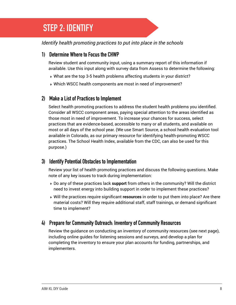# <span id="page-8-0"></span>**STEP 2: IDENTIFY STEP 2: IDENTIFY**

### *Identify health promoting practices to put into place in the schools*

# **1) Determine Where to Focus the CHWP**

Review student and community input, using a summary report of this information if available. Use this input along with survey data from Assess to determine the following:

- ‣ What are the top 3-5 health problems affecting students in your district?
- ‣ Which WSCC health components are most in need of improvement?

# **2) Make a List of Practices to Implement**

Select health promoting practices to address the student health problems you identified. Consider all WSCC component areas, paying special attention to the areas identified as those most in need of improvement. To increase your chances for success, select practices that are evidence-based, accessible to many or all students, and available on most or all days of the school year. (We use Smart Source, a school health evaluation tool available in Colorado, as our primary resource for identifying health-promoting WSCC practices. The School Health Index, available from the CDC, can also be used for this purpose.)

# **3) Identify Potential Obstacles to Implementation**

Review your list of health promoting practices and discuss the following questions. Make note of any key issues to track during implementation:

- ‣ Do any of these practices lack **support** from others in the community? Will the district need to invest energy into building support in order to implement these practices?
- ‣ Will the practices require significant **resources** in order to put them into place? Are there material costs? Will they require additional staff, staff trainings, or demand significant time to implement?

# **4) Prepare for Community Outreach: Inventory of Community Resources**

Review the guidance on conducting an inventory of community resources (see next page), including online guides for listening sessions and surveys, and develop a plan for completing the inventory to ensure your plan accounts for funding, partnerships, and implementers.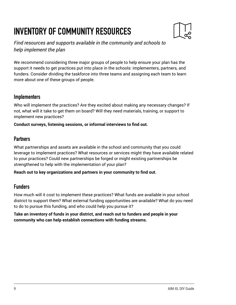# <span id="page-9-0"></span>**INVENTORY OF COMMUNITY RESOURCES**



*Find resources and supports available in the community and schools to help implement the plan* 

We recommend considering three major groups of people to help ensure your plan has the support it needs to get practices put into place in the schools: implementers, partners, and funders. Consider dividing the taskforce into three teams and assigning each team to learn more about one of these groups of people.

### **Implementers**

Who will implement the practices? Are they excited about making any necessary changes? If not, what will it take to get them on board? Will they need materials, training, or support to implement new practices?

**Conduct surveys, listening sessions, or informal interviews to find out.** 

# **Partners**

What partnerships and assets are available in the school and community that you could leverage to implement practices? What resources or services might they have available related to your practices? Could new partnerships be forged or might existing partnerships be strengthened to help with the implementation of your plan?

**Reach out to key organizations and partners in your community to find out.**

# **Funders**

How much will it cost to implement these practices? What funds are available in your school district to support them? What external funding opportunities are available? What do you need to do to pursue this funding, and who could help you pursue it?

**Take an inventory of funds in your district, and reach out to funders and people in your community who can help establish connections with funding streams.**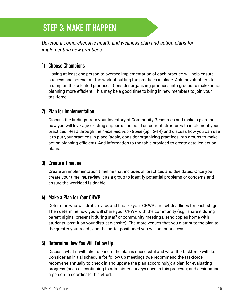# <span id="page-10-0"></span>**STEP 3: MAKE IT HAPPEN STEP 3: MAKE IT HAPPEN**

*Develop a comprehensive health and wellness plan and action plans for implementing new practices* 

# **1) Choose Champions**

Having at least one person to oversee implementation of each practice will help ensure success and spread out the work of putting the practices in place. Ask for volunteers to champion the selected practices. Consider organizing practices into groups to make action planning more efficient. This may be a good time to bring in new members to join your taskforce.

### **2) Plan for Implementation**

Discuss the findings from your Inventory of Community Resources and make a plan for how you will leverage existing supports and build on current structures to implement your practices. Read through the *Implementation Guide* (pp.12-14) and discuss how you can use it to put your practices in place (again, consider organizing practices into groups to make action planning efficient). Add information to the table provided to create detailed action plans.

# **3) Create a Timeline**

Create an implementation timeline that includes all practices and due dates. Once you create your timeline, review it as a group to identify potential problems or concerns and ensure the workload is doable.

# **4) Make a Plan for Your CHWP**

Determine who will draft, revise, and finalize your CHWP, and set deadlines for each stage. Then determine how you will share your CHWP with the community (e.g., share it during parent nights, present it during staff or community meetings, send copies home with students, post it on your district website). The more venues that you distribute the plan to, the greater your reach, and the better positioned you will be for success.

# **5) Determine How You Will Follow Up**

Discuss what it will take to ensure the plan is successful and what the taskforce will do. Consider an initial schedule for follow up meetings (we recommend the taskforce reconvene annually to check in and update the plan accordingly); a plan for evaluating progress (such as continuing to administer surveys used in this process); and designating a person to coordinate this effort.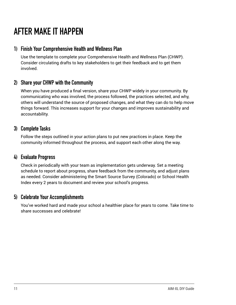# <span id="page-11-0"></span>**AFTER MAKE IT HAPPEN**

# **1) Finish Your Comprehensive Health and Wellness Plan**

Use the template to complete your Comprehensive Health and Wellness Plan (CHWP). Consider circulating drafts to key stakeholders to get their feedback and to get them involved.

# **2) Share your CHWP with the Community**

When you have produced a final version, share your CHWP widely in your community. By communicating who was involved, the process followed, the practices selected, and why, others will understand the source of proposed changes, and what they can do to help move things forward. This increases support for your changes and improves sustainability and accountability.

# **3) Complete Tasks**

Follow the steps outlined in your action plans to put new practices in place. Keep the community informed throughout the process, and support each other along the way.

# **4) Evaluate Progress**

Check in periodically with your team as implementation gets underway. Set a meeting schedule to report about progress, share feedback from the community, and adjust plans as needed. Consider administering the Smart Source Survey (Colorado) or School Health Index every 2 years to document and review your school's progress.

# **5) Celebrate Your Accomplishments**

You've worked hard and made your school a healthier place for years to come. Take time to share successes and celebrate!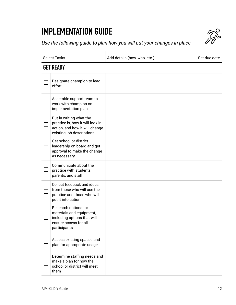# <span id="page-12-0"></span>**IMPLEMENTATION GUIDE**



*Use the following guide to plan how you will put your changes in place* 

|                   | <b>Select Tasks</b>                                                                                                        | Add details (how, who, etc.) | Set due date |  |  |  |
|-------------------|----------------------------------------------------------------------------------------------------------------------------|------------------------------|--------------|--|--|--|
|                   | <b>GET READY</b>                                                                                                           |                              |              |  |  |  |
|                   | Designate champion to lead<br>effort                                                                                       |                              |              |  |  |  |
|                   | Assemble support team to<br>work with champion on<br>implementation plan                                                   |                              |              |  |  |  |
| $\vert \ \ \vert$ | Put in writing what the<br>practice is, how it will look in<br>action, and how it will change<br>existing job descriptions |                              |              |  |  |  |
|                   | Get school or district<br>leadership on board and get<br>approval to make the change<br>as necessary                       |                              |              |  |  |  |
|                   | Communicate about the<br>practice with students,<br>parents, and staff                                                     |                              |              |  |  |  |
|                   | Collect feedback and ideas<br>from those who will use the<br>practice and those who will<br>put it into action             |                              |              |  |  |  |
|                   | Research options for<br>materials and equipment,<br>including options that will<br>ensure access for all<br>participants   |                              |              |  |  |  |
|                   | Assess existing spaces and<br>plan for appropriate usage                                                                   |                              |              |  |  |  |
|                   | Determine staffing needs and<br>make a plan for how the<br>school or district will meet<br>them                            |                              |              |  |  |  |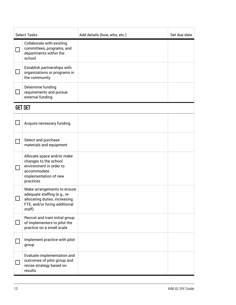| <b>Select Tasks</b>         |                                                                                                                                         | Add details (how, who, etc.) | Set due date |  |  |  |
|-----------------------------|-----------------------------------------------------------------------------------------------------------------------------------------|------------------------------|--------------|--|--|--|
| $\mathcal{L}_{\mathcal{A}}$ | Collaborate with existing<br>committees, programs, and<br>departments within the<br>school                                              |                              |              |  |  |  |
|                             | Establish partnerships with<br>organizations or programs in<br>the community                                                            |                              |              |  |  |  |
|                             | Determine funding<br>requirements and pursue<br>external funding                                                                        |                              |              |  |  |  |
|                             | <b>GET SET</b>                                                                                                                          |                              |              |  |  |  |
|                             | Acquire necessary funding                                                                                                               |                              |              |  |  |  |
|                             | Select and purchase<br>materials and equipment                                                                                          |                              |              |  |  |  |
|                             | Allocate space and/or make<br>changes to the school<br>environment in order to<br>accommodate<br>implementation of new<br>practices     |                              |              |  |  |  |
|                             | Make arrangements to ensure<br>adequate staffing (e.g., re-<br>allocating duties, increasing<br>FTE, and/or hiring additional<br>staff) |                              |              |  |  |  |
|                             | Recruit and train initial group<br>of implementers to pilot the<br>practice on a small scale                                            |                              |              |  |  |  |
|                             | Implement practice with pilot<br>group                                                                                                  |                              |              |  |  |  |
|                             | Evaluate implementation and<br>outcomes of pilot group and<br>revise strategy based on<br>results                                       |                              |              |  |  |  |